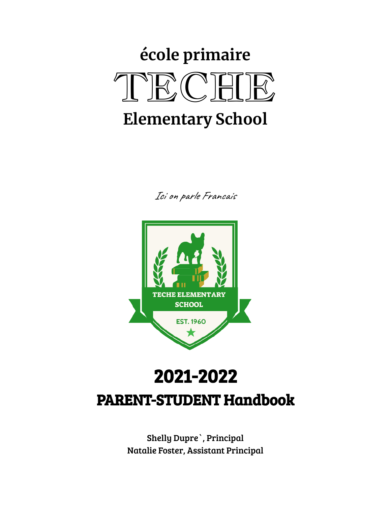# **école primaire** TECHE **Elementary School**

Ici on parle Francais



## 2021-2022 PARENT-STUDENT Handbook

Shelly Dupre`, Principal Natalie Foster, Assistant Principal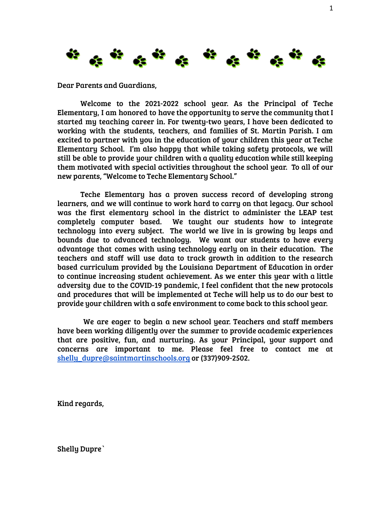

Dear Parents and Guardians,

Welcome to the 2021-2022 school year. As the Principal of Teche Elementary, I am honored to have the opportunity to serve the community that I started my teaching career in. For twenty-two years, I have been dedicated to working with the students, teachers, and families of St. Martin Parish. I am excited to partner with you in the education of your children this year at Teche Elementary School. I'm also happy that while taking safety protocols, we will still be able to provide your children with a quality education while still keeping them motivated with special activities throughout the school year. To all of our new parents, "Welcome to Teche Elementary School."

Teche Elementary has a proven success record of developing strong learners, and we will continue to work hard to carry on that legacy. Our school was the first elementary school in the district to administer the LEAP test completely computer based. We taught our students how to integrate technology into every subject. The world we live in is growing by leaps and bounds due to advanced technology. We want our students to have every advantage that comes with using technology early on in their education. The teachers and staff will use data to track growth in addition to the research based curriculum provided by the Louisiana Department of Education in order to continue increasing student achievement. As we enter this year with a little adversity due to the COVID-19 pandemic, I feel confident that the new protocols and procedures that will be implemented at Teche will help us to do our best to provide your children with a safe environment to come back to this school year.

We are eager to begin a new school year. Teachers and staff members have been working diligently over the summer to provide academic experiences that are positive, fun, and nurturing. As your Principal, your support and concerns are important to me. Please feel free to contact me at [shelly\\_dupre@saintmartinschools.org](mailto:shelly_dupre@saintmartinschools.org) or (337)909-2502.

Kind regards,

Shelly Dupre`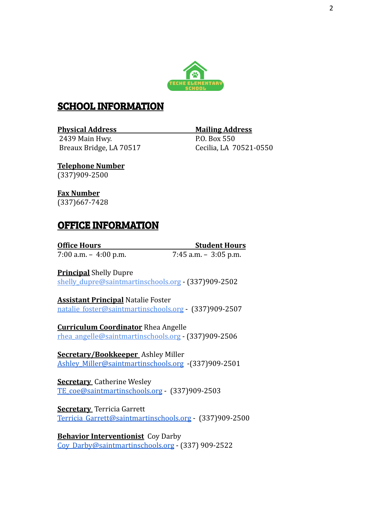

#### SCHOOL INFORMATION

#### **Physical Address Mailing Address**

2439 Main Hwy. P.O. Box 550 Breaux Bridge, LA 70517 Cecilia, LA 70521-0550

**Telephone Number** (337)909-2500

**Fax Number** (337)667-7428

## OFFICE INFORMATION

**Office Hours Student Hours**

7:00 a.m. – 4:00 p.m. 7:45 a.m. – 3:05 p.m.

**Principal** Shelly Dupre

shelly\_dupre[@saintmartinschools.org](mailto:shelly_dupre@saintmartinschools.org) - (337)909-2502

**Assistant Principal** Natalie Foster natalie\_foste[r@saintmartinschools.org](mailto:natalie_foster@saintmartinschools.org) - (337)909-2507

**Curriculum Coordinator** Rhea Angelle [rhea\\_angelle@saintmartinschools.org](mailto:rhea_angelle@saintmartinschools.org) - (337)909-2506

**Secretary/Bookkeeper** Ashley Miller [Ashley\\_Miller@saintmartinschools.org](mailto:Ashley_Miller@saintmartinschools.org) -(337)909-2501

**Secretary** Catherine Wesley [TE\\_coe@saintmartinschools.org](mailto:TE_coe@saintmartinschools.org) - (337)909-2503

**Secretary** Terricia Garrett [Terricia\\_Garrett@saintmartinschools.org](mailto:TE_coe@saintmartinschools.org) - (337)909-2500

**Behavior Interventionist** Coy Darby [Coy\\_Darby@saintmartinschools.org](mailto:Coy_Darby@saintmartinschools.org) - (337) 909-2522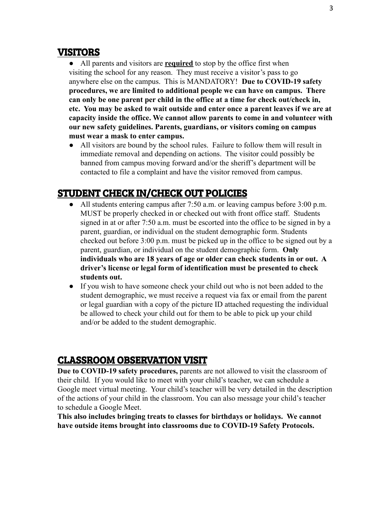## VISITORS

● All parents and visitors are **required** to stop by the office first when visiting the school for any reason. They must receive a visitor's pass to go anywhere else on the campus. This is MANDATORY! **Due to COVID-19 safety procedures, we are limited to additional people we can have on campus. There can only be one parent per child in the office at a time for check out/check in, etc. You may be asked to wait outside and enter once a parent leaves if we are at capacity inside the office. We cannot allow parents to come in and volunteer with our new safety guidelines. Parents, guardians, or visitors coming on campus must wear a mask to enter campus.**

● All visitors are bound by the school rules. Failure to follow them will result in immediate removal and depending on actions. The visitor could possibly be banned from campus moving forward and/or the sheriff's department will be contacted to file a complaint and have the visitor removed from campus.

## STUDENT CHECK IN/CHECK OUT POLICIES

- All students entering campus after 7:50 a.m. or leaving campus before 3:00 p.m. MUST be properly checked in or checked out with front office staff. Students signed in at or after 7:50 a.m. must be escorted into the office to be signed in by a parent, guardian, or individual on the student demographic form. Students checked out before 3:00 p.m. must be picked up in the office to be signed out by a parent, guardian, or individual on the student demographic form. **Only individuals who are 18 years of age or older can check students in or out. A driver's license or legal form of identification must be presented to check students out.**
- If you wish to have someone check your child out who is not been added to the student demographic, we must receive a request via fax or email from the parent or legal guardian with a copy of the picture ID attached requesting the individual be allowed to check your child out for them to be able to pick up your child and/or be added to the student demographic.

## CLASSROOM OBSERVATION VISIT

**Due to COVID-19 safety procedures,** parents are not allowed to visit the classroom of their child. If you would like to meet with your child's teacher, we can schedule a Google meet virtual meeting. Your child's teacher will be very detailed in the description of the actions of your child in the classroom. You can also message your child's teacher to schedule a Google Meet.

**This also includes bringing treats to classes for birthdays or holidays. We cannot have outside items brought into classrooms due to COVID-19 Safety Protocols.**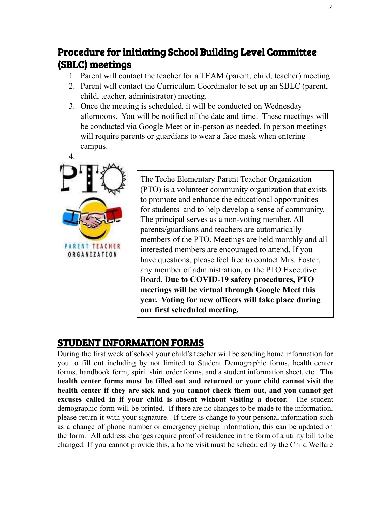## Procedure for initiating School Building Level Committee (SBLC) meetings

- 1. Parent will contact the teacher for a TEAM (parent, child, teacher) meeting.
- 2. Parent will contact the Curriculum Coordinator to set up an SBLC (parent, child, teacher, administrator) meeting.
- 3. Once the meeting is scheduled, it will be conducted on Wednesday afternoons. You will be notified of the date and time. These meetings will be conducted via Google Meet or in-person as needed. In person meetings will require parents or guardians to wear a face mask when entering campus.



The Teche Elementary Parent Teacher Organization (PTO) is a volunteer community organization that exists to promote and enhance the educational opportunities for students and to help develop a sense of community. The principal serves as a non-voting member. All parents/guardians and teachers are automatically members of the PTO. Meetings are held monthly and all interested members are encouraged to attend. If you have questions, please feel free to contact Mrs. Foster, any member of administration, or the PTO Executive Board. **Due to COVID-19 safety procedures, PTO meetings will be virtual through Google Meet this year. Voting for new officers will take place during our first scheduled meeting.**

## STUDENT INFORMATION FORMS

During the first week of school your child's teacher will be sending home information for you to fill out including by not limited to Student Demographic forms, health center forms, handbook form, spirit shirt order forms, and a student information sheet, etc. **The health center forms must be filled out and returned or your child cannot visit the health center if they are sick and you cannot check them out, and you cannot get excuses called in if your child is absent without visiting a doctor.** The student demographic form will be printed. If there are no changes to be made to the information, please return it with your signature. If there is change to your personal information such as a change of phone number or emergency pickup information, this can be updated on the form. All address changes require proof of residence in the form of a utility bill to be changed. If you cannot provide this, a home visit must be scheduled by the Child Welfare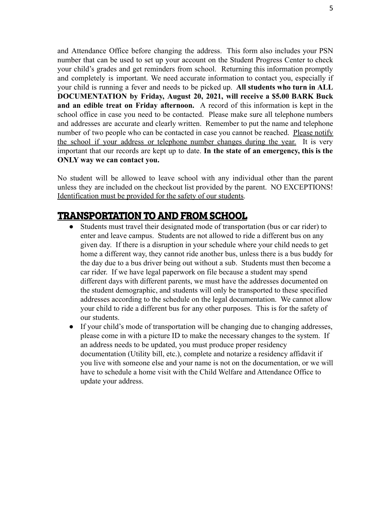and Attendance Office before changing the address. This form also includes your PSN number that can be used to set up your account on the Student Progress Center to check your child's grades and get reminders from school. Returning this information promptly and completely is important. We need accurate information to contact you, especially if your child is running a fever and needs to be picked up. **All students who turn in ALL DOCUMENTATION by Friday, August 20, 2021, will receive a \$5.00 BARK Buck and an edible treat on Friday afternoon.** A record of this information is kept in the school office in case you need to be contacted. Please make sure all telephone numbers and addresses are accurate and clearly written. Remember to put the name and telephone number of two people who can be contacted in case you cannot be reached. Please notify the school if your address or telephone number changes during the year. It is very important that our records are kept up to date. **In the state of an emergency, this is the ONLY way we can contact you.**

No student will be allowed to leave school with any individual other than the parent unless they are included on the checkout list provided by the parent. NO EXCEPTIONS! Identification must be provided for the safety of our students.

## TRANSPORTATION TO AND FROM SCHOOL

- Students must travel their designated mode of transportation (bus or car rider) to enter and leave campus. Students are not allowed to ride a different bus on any given day. If there is a disruption in your schedule where your child needs to get home a different way, they cannot ride another bus, unless there is a bus buddy for the day due to a bus driver being out without a sub. Students must then become a car rider. If we have legal paperwork on file because a student may spend different days with different parents, we must have the addresses documented on the student demographic, and students will only be transported to these specified addresses according to the schedule on the legal documentation. We cannot allow your child to ride a different bus for any other purposes. This is for the safety of our students.
- If your child's mode of transportation will be changing due to changing addresses, please come in with a picture ID to make the necessary changes to the system. If an address needs to be updated, you must produce proper residency documentation (Utility bill, etc.), complete and notarize a residency affidavit if you live with someone else and your name is not on the documentation, or we will have to schedule a home visit with the Child Welfare and Attendance Office to update your address.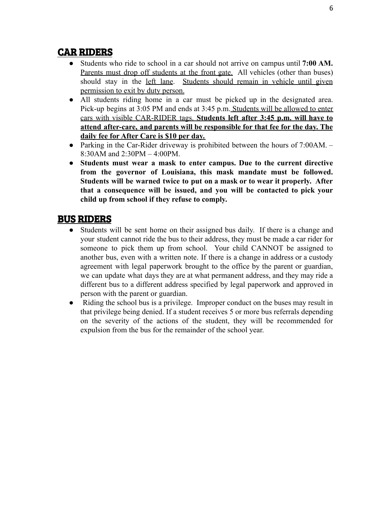## CAR RIDERS

- Students who ride to school in a car should not arrive on campus until **7:00 AM.** Parents must drop off students at the front gate. All vehicles (other than buses) should stay in the left lane. Students should remain in vehicle until given permission to exit by duty person.
- All students riding home in a car must be picked up in the designated area. Pick-up begins at 3:05 PM and ends at 3:45 p.m. Students will be allowed to enter cars with visible CAR-RIDER tags. **Students left after 3:45 p.m. will have to attend after-care, and parents will be responsible for that fee for the day. The daily fee for After Care is \$10 per day.**
- Parking in the Car-Rider driveway is prohibited between the hours of 7:00AM. 8:30AM and 2:30PM – 4:00PM.
- **● Students must wear a mask to enter campus. Due to the current directive from the governor of Louisiana, this mask mandate must be followed. Students will be warned twice to put on a mask or to wear it properly. After that a consequence will be issued, and you will be contacted to pick your child up from school if they refuse to comply.**

## BUS RIDERS

- Students will be sent home on their assigned bus daily. If there is a change and your student cannot ride the bus to their address, they must be made a car rider for someone to pick them up from school. Your child CANNOT be assigned to another bus, even with a written note. If there is a change in address or a custody agreement with legal paperwork brought to the office by the parent or guardian, we can update what days they are at what permanent address, and they may ride a different bus to a different address specified by legal paperwork and approved in person with the parent or guardian.
- Riding the school bus is a privilege. Improper conduct on the buses may result in that privilege being denied. If a student receives 5 or more bus referrals depending on the severity of the actions of the student, they will be recommended for expulsion from the bus for the remainder of the school year.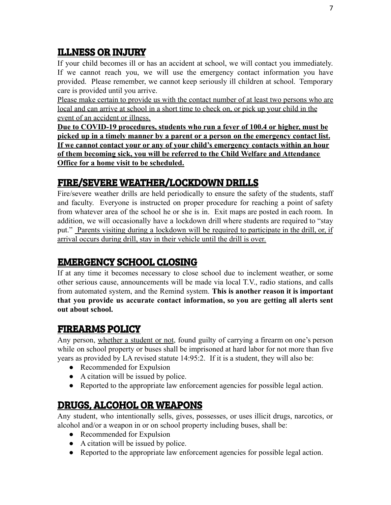## ILLNESS OR INJURY

If your child becomes ill or has an accident at school, we will contact you immediately. If we cannot reach you, we will use the emergency contact information you have provided. Please remember, we cannot keep seriously ill children at school. Temporary care is provided until you arrive.

Please make certain to provide us with the contact number of at least two persons who are local and can arrive at school in a short time to check on, or pick up your child in the event of an accident or illness.

**Due to COVID-19 procedures, students who run a fever of 100.4 or higher, must be picked up in a timely manner by a parent or a person on the emergency contact list. If we cannot contact your or any of your child's emergency contacts within an hour of them becoming sick, you will be referred to the Child Welfare and Attendance Office for a home visit to be scheduled.**

## FIRE/SEVERE WEATHER/LOCKDOWN DRILLS

Fire/severe weather drills are held periodically to ensure the safety of the students, staff and faculty. Everyone is instructed on proper procedure for reaching a point of safety from whatever area of the school he or she is in. Exit maps are posted in each room. In addition, we will occasionally have a lockdown drill where students are required to "stay put." Parents visiting during a lockdown will be required to participate in the drill, or, if arrival occurs during drill, stay in their vehicle until the drill is over.

## EMERGENCY SCHOOL CLOSING

If at any time it becomes necessary to close school due to inclement weather, or some other serious cause, announcements will be made via local T.V., radio stations, and calls from automated system, and the Remind system. **This is another reason it is important that you provide us accurate contact information, so you are getting all alerts sent out about school.**

## FIREARMS POLICY

Any person, whether a student or not, found guilty of carrying a firearm on one's person while on school property or buses shall be imprisoned at hard labor for not more than five years as provided by LA revised statute 14:95:2. If it is a student, they will also be:

- Recommended for Expulsion
- A citation will be issued by police.
- Reported to the appropriate law enforcement agencies for possible legal action.

## DRUGS, ALCOHOL OR WEAPONS

Any student, who intentionally sells, gives, possesses, or uses illicit drugs, narcotics, or alcohol and/or a weapon in or on school property including buses, shall be:

- Recommended for Expulsion
- A citation will be issued by police.
- Reported to the appropriate law enforcement agencies for possible legal action.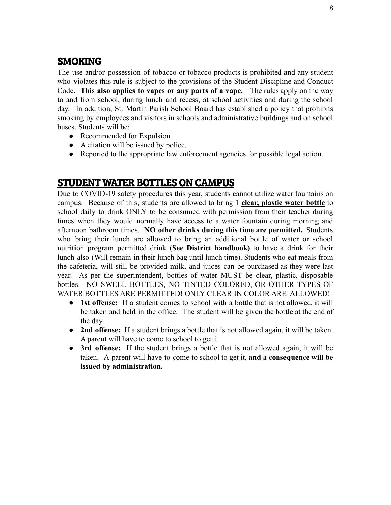## **SMOKING**

The use and/or possession of tobacco or tobacco products is prohibited and any student who violates this rule is subject to the provisions of the Student Discipline and Conduct Code. **This also applies to vapes or any parts of a vape.** The rules apply on the way to and from school, during lunch and recess, at school activities and during the school day. In addition, St. Martin Parish School Board has established a policy that prohibits smoking by employees and visitors in schools and administrative buildings and on school buses. Students will be:

- Recommended for Expulsion
- A citation will be issued by police.
- Reported to the appropriate law enforcement agencies for possible legal action.

## STUDENT WATER BOTTLES ON CAMPUS

Due to COVID-19 safety procedures this year, students cannot utilize water fountains on campus. Because of this, students are allowed to bring 1 **clear, plastic water bottle** to school daily to drink ONLY to be consumed with permission from their teacher during times when they would normally have access to a water fountain during morning and afternoon bathroom times. **NO other drinks during this time are permitted.** Students who bring their lunch are allowed to bring an additional bottle of water or school nutrition program permitted drink **(See District handbook)** to have a drink for their lunch also (Will remain in their lunch bag until lunch time). Students who eat meals from the cafeteria, will still be provided milk, and juices can be purchased as they were last year. As per the superintendent, bottles of water MUST be clear, plastic, disposable bottles. NO SWELL BOTTLES, NO TINTED COLORED, OR OTHER TYPES OF WATER BOTTLES ARE PERMITTED! ONLY CLEAR IN COLOR ARE ALLOWED!

- **1st offense:** If a student comes to school with a bottle that is not allowed, it will be taken and held in the office. The student will be given the bottle at the end of the day.
- **2nd offense:** If a student brings a bottle that is not allowed again, it will be taken. A parent will have to come to school to get it.
- **● 3rd offense:** If the student brings a bottle that is not allowed again, it will be taken. A parent will have to come to school to get it, **and a consequence will be issued by administration.**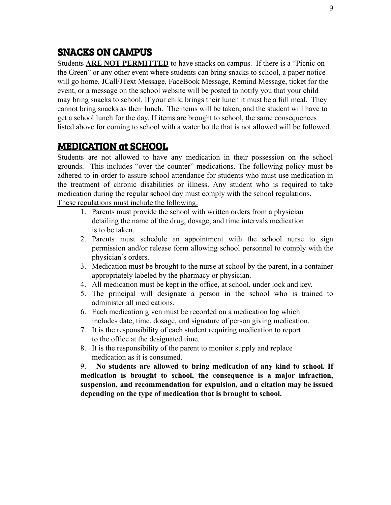## SNACKS ON CAMPUS

Students **ARE NOT PERMITTED** to have snacks on campus. If there is a "Picnic on the Green" or any other event where students can bring snacks to school, a paper notice will go home, JCall/JText Message, FaceBook Message, Remind Message, ticket for the event, or a message on the school website will be posted to notify you that your child may bring snacks to school. If your child brings their lunch it must be a full meal. They cannot bring snacks as their lunch. The items will be taken, and the student will have to get a school lunch for the day. If items are brought to school, the same consequences listed above for coming to school with a water bottle that is not allowed will be followed.

## MEDICATION at SCHOOL

Students are not allowed to have any medication in their possession on the school grounds. This includes "over the counter" medications. The following policy must be adhered to in order to assure school attendance for students who must use medication in the treatment of chronic disabilities or illness. Any student who is required to take medication during the regular school day must comply with the school regulations. These regulations must include the following:

- 1. Parents must provide the school with written orders from a physician detailing the name of the drug, dosage, and time intervals medication is to be taken.
- 2. Parents must schedule an appointment with the school nurse to sign permission and/or release form allowing school personnel to comply with the physician's orders.
- 3. Medication must be brought to the nurse at school by the parent, in a container appropriately labeled by the pharmacy or physician.
- 4. All medication must be kept in the office, at school, under lock and key.
- 5. The principal will designate a person in the school who is trained to administer all medications.
- 6. Each medication given must be recorded on a medication log which includes date, time, dosage, and signature of person giving medication.
- 7. It is the responsibility of each student requiring medication to report to the office at the designated time.
- 8. It is the responsibility of the parent to monitor supply and replace medication as it is consumed.

9. **No students are allowed to bring medication of any kind to school. If medication is brought to school, the consequence is a major infraction, suspension, and recommendation for expulsion, and a citation may be issued depending on the type of medication that is brought to school.**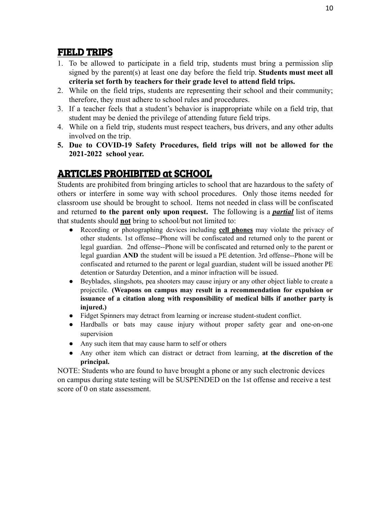## FIELD TRIPS

- 1. To be allowed to participate in a field trip, students must bring a permission slip signed by the parent(s) at least one day before the field trip. **Students must meet all criteria set forth by teachers for their grade level to attend field trips.**
- 2. While on the field trips, students are representing their school and their community; therefore, they must adhere to school rules and procedures.
- 3. If a teacher feels that a student's behavior is inappropriate while on a field trip, that student may be denied the privilege of attending future field trips.
- 4. While on a field trip, students must respect teachers, bus drivers, and any other adults involved on the trip.
- **5. Due to COVID-19 Safety Procedures, field trips will not be allowed for the 2021-2022 school year.**

## ARTICLES PROHIBITED at SCHOOL

Students are prohibited from bringing articles to school that are hazardous to the safety of others or interfere in some way with school procedures. Only those items needed for classroom use should be brought to school. Items not needed in class will be confiscated and returned **to the parent only upon request.** The following is a *partial* list of items that students should **not** bring to school/but not limited to:

- Recording or photographing devices including **cell phones** may violate the privacy of other students. 1st offense--Phone will be confiscated and returned only to the parent or legal guardian. 2nd offense--Phone will be confiscated and returned only to the parent or legal guardian **AND** the student will be issued a PE detention. 3rd offense--Phone will be confiscated and returned to the parent or legal guardian, student will be issued another PE detention or Saturday Detention, and a minor infraction will be issued.
- Beyblades, slingshots, pea shooters may cause injury or any other object liable to create a projectile. **(Weapons on campus may result in a recommendation for expulsion or issuance of a citation along with responsibility of medical bills if another party is injured.)**
- Fidget Spinners may detract from learning or increase student-student conflict.
- Hardballs or bats may cause injury without proper safety gear and one-on-one supervision
- Any such item that may cause harm to self or others
- Any other item which can distract or detract from learning, **at the discretion of the principal.**

NOTE: Students who are found to have brought a phone or any such electronic devices on campus during state testing will be SUSPENDED on the 1st offense and receive a test score of 0 on state assessment.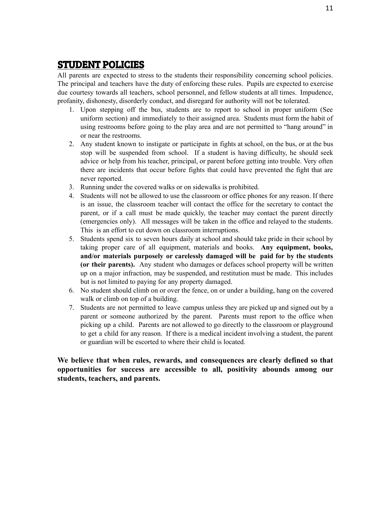#### STUDENT POLICIES

All parents are expected to stress to the students their responsibility concerning school policies. The principal and teachers have the duty of enforcing these rules. Pupils are expected to exercise due courtesy towards all teachers, school personnel, and fellow students at all times. Impudence, profanity, dishonesty, disorderly conduct, and disregard for authority will not be tolerated.

- 1. Upon stepping off the bus, students are to report to school in proper uniform (See uniform section) and immediately to their assigned area. Students must form the habit of using restrooms before going to the play area and are not permitted to "hang around" in or near the restrooms.
- 2. Any student known to instigate or participate in fights at school, on the bus, or at the bus stop will be suspended from school. If a student is having difficulty, he should seek advice or help from his teacher, principal, or parent before getting into trouble. Very often there are incidents that occur before fights that could have prevented the fight that are never reported.
- 3. Running under the covered walks or on sidewalks is prohibited.
- 4. Students will not be allowed to use the classroom or office phones for any reason. If there is an issue, the classroom teacher will contact the office for the secretary to contact the parent, or if a call must be made quickly, the teacher may contact the parent directly (emergencies only). All messages will be taken in the office and relayed to the students. This is an effort to cut down on classroom interruptions.
- 5. Students spend six to seven hours daily at school and should take pride in their school by taking proper care of all equipment, materials and books. **Any equipment, books, and/or materials purposely or carelessly damaged will be paid for by the students (or their parents).** Any student who damages or defaces school property will be written up on a major infraction, may be suspended, and restitution must be made. This includes but is not limited to paying for any property damaged.
- 6. No student should climb on or over the fence, on or under a building, hang on the covered walk or climb on top of a building.
- 7. Students are not permitted to leave campus unless they are picked up and signed out by a parent or someone authorized by the parent. Parents must report to the office when picking up a child. Parents are not allowed to go directly to the classroom or playground to get a child for any reason. If there is a medical incident involving a student, the parent or guardian will be escorted to where their child is located.

**We believe that when rules, rewards, and consequences are clearly defined so that opportunities for success are accessible to all, positivity abounds among our students, teachers, and parents.**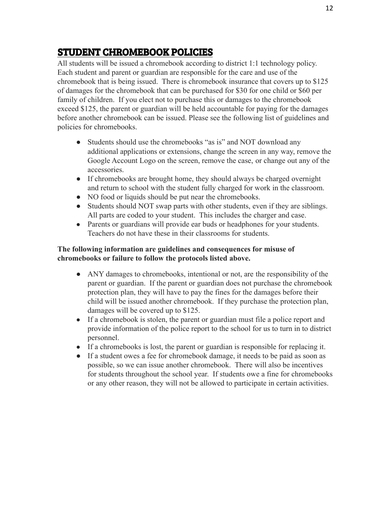## STUDENT CHROMEBOOK POLICIES

All students will be issued a chromebook according to district 1:1 technology policy. Each student and parent or guardian are responsible for the care and use of the chromebook that is being issued. There is chromebook insurance that covers up to \$125 of damages for the chromebook that can be purchased for \$30 for one child or \$60 per family of children. If you elect not to purchase this or damages to the chromebook exceed \$125, the parent or guardian will be held accountable for paying for the damages before another chromebook can be issued. Please see the following list of guidelines and policies for chromebooks.

- Students should use the chromebooks "as is" and NOT download any additional applications or extensions, change the screen in any way, remove the Google Account Logo on the screen, remove the case, or change out any of the accessories.
- If chromebooks are brought home, they should always be charged overnight and return to school with the student fully charged for work in the classroom.
- NO food or liquids should be put near the chromebooks.
- Students should NOT swap parts with other students, even if they are siblings. All parts are coded to your student. This includes the charger and case.
- Parents or guardians will provide ear buds or headphones for your students. Teachers do not have these in their classrooms for students.

#### **The following information are guidelines and consequences for misuse of chromebooks or failure to follow the protocols listed above.**

- ANY damages to chromebooks, intentional or not, are the responsibility of the parent or guardian. If the parent or guardian does not purchase the chromebook protection plan, they will have to pay the fines for the damages before their child will be issued another chromebook. If they purchase the protection plan, damages will be covered up to \$125.
- If a chromebook is stolen, the parent or guardian must file a police report and provide information of the police report to the school for us to turn in to district personnel.
- If a chromebooks is lost, the parent or guardian is responsible for replacing it.
- If a student owes a fee for chromebook damage, it needs to be paid as soon as possible, so we can issue another chromebook. There will also be incentives for students throughout the school year. If students owe a fine for chromebooks or any other reason, they will not be allowed to participate in certain activities.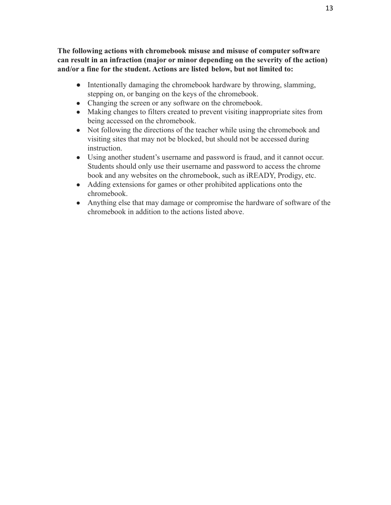**The following actions with chromebook misuse and misuse of computer software can result in an infraction (major or minor depending on the severity of the action) and/or a fine for the student. Actions are listed below, but not limited to:**

- Intentionally damaging the chromebook hardware by throwing, slamming, stepping on, or banging on the keys of the chromebook.
- Changing the screen or any software on the chromebook.
- Making changes to filters created to prevent visiting inappropriate sites from being accessed on the chromebook.
- Not following the directions of the teacher while using the chromebook and visiting sites that may not be blocked, but should not be accessed during instruction.
- Using another student's username and password is fraud, and it cannot occur. Students should only use their username and password to access the chrome book and any websites on the chromebook, such as iREADY, Prodigy, etc.
- Adding extensions for games or other prohibited applications onto the chromebook.
- Anything else that may damage or compromise the hardware of software of the chromebook in addition to the actions listed above.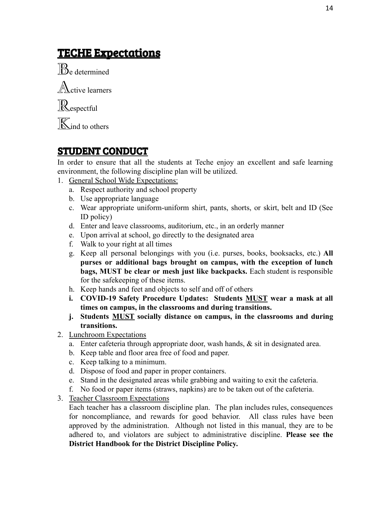## TECHE Expectations

Be determined  $\mathbb{A}$ ctive learners Respectful

**K**ind to others

## STUDENT CONDUCT

In order to ensure that all the students at Teche enjoy an excellent and safe learning environment, the following discipline plan will be utilized.

- 1. General School Wide Expectations:
	- a. Respect authority and school property
	- b. Use appropriate language
	- c. Wear appropriate uniform-uniform shirt, pants, shorts, or skirt, belt and ID (See ID policy)
	- d. Enter and leave classrooms, auditorium, etc., in an orderly manner
	- e. Upon arrival at school, go directly to the designated area
	- f. Walk to your right at all times
	- g. Keep all personal belongings with you (i.e. purses, books, booksacks, etc.) **All purses or additional bags brought on campus, with the exception of lunch bags, MUST be clear or mesh just like backpacks.** Each student is responsible for the safekeeping of these items.
	- h. Keep hands and feet and objects to self and off of others
	- **i. COVID-19 Safety Procedure Updates: Students MUST wear a mask at all times on campus, in the classrooms and during transitions.**
	- **j. Students MUST socially distance on campus, in the classrooms and during transitions.**
- 2. Lunchroom Expectations
	- a. Enter cafeteria through appropriate door, wash hands, & sit in designated area.
	- b. Keep table and floor area free of food and paper.
	- c. Keep talking to a minimum.
	- d. Dispose of food and paper in proper containers.
	- e. Stand in the designated areas while grabbing and waiting to exit the cafeteria.
	- f. No food or paper items (straws, napkins) are to be taken out of the cafeteria.
- 3. Teacher Classroom Expectations

Each teacher has a classroom discipline plan. The plan includes rules, consequences for noncompliance, and rewards for good behavior. All class rules have been approved by the administration. Although not listed in this manual, they are to be adhered to, and violators are subject to administrative discipline. **Please see the District Handbook for the District Discipline Policy.**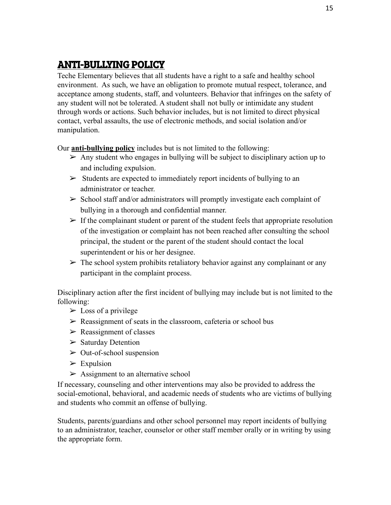## ANTI-BULLYING POLICY

Teche Elementary believes that all students have a right to a safe and healthy school environment. As such, we have an obligation to promote mutual respect, tolerance, and acceptance among students, staff, and volunteers. Behavior that infringes on the safety of any student will not be tolerated. A student shall not bully or intimidate any student through words or actions. Such behavior includes, but is not limited to direct physical contact, verbal assaults, the use of electronic methods, and social isolation and/or manipulation.

Our **anti-bullying policy** includes but is not limited to the following:

- $\triangleright$  Any student who engages in bullying will be subject to disciplinary action up to and including expulsion.
- $\triangleright$  Students are expected to immediately report incidents of bullying to an administrator or teacher.
- $\triangleright$  School staff and/or administrators will promptly investigate each complaint of bullying in a thorough and confidential manner.
- $\triangleright$  If the complainant student or parent of the student feels that appropriate resolution of the investigation or complaint has not been reached after consulting the school principal, the student or the parent of the student should contact the local superintendent or his or her designee.
- $\triangleright$  The school system prohibits retaliatory behavior against any complainant or any participant in the complaint process.

Disciplinary action after the first incident of bullying may include but is not limited to the following:

- $\triangleright$  Loss of a privilege
- $\triangleright$  Reassignment of seats in the classroom, cafeteria or school bus
- $\triangleright$  Reassignment of classes
- ➢ Saturday Detention
- $\triangleright$  Out-of-school suspension
- $\triangleright$  Expulsion
- $\triangleright$  Assignment to an alternative school

If necessary, counseling and other interventions may also be provided to address the social-emotional, behavioral, and academic needs of students who are victims of bullying and students who commit an offense of bullying.

Students, parents/guardians and other school personnel may report incidents of bullying to an administrator, teacher, counselor or other staff member orally or in writing by using the appropriate form.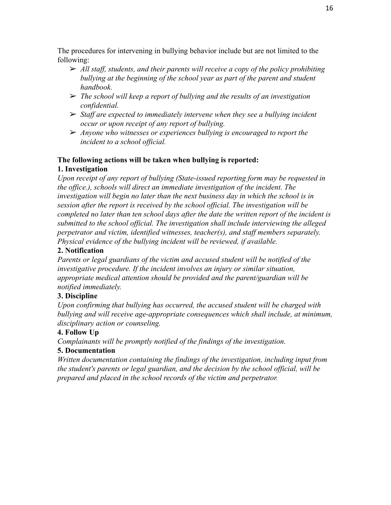The procedures for intervening in bullying behavior include but are not limited to the following:

- ➢ *All staff, students, and their parents will receive a copy of the policy prohibiting bullying at the beginning of the school year as part of the parent and student handbook.*
- ➢ *The school will keep a report of bullying and the results of an investigation confidential.*
- ➢ *Staff are expected to immediately intervene when they see a bullying incident occur or upon receipt of any report of bullying.*
- ➢ *Anyone who witnesses or experiences bullying is encouraged to report the incident to a school official.*

#### **The following actions will be taken when bullying is reported:**

#### **1. Investigation**

*Upon receipt of any report of bullying (State-issued reporting form may be requested in the office.), schools will direct an immediate investigation of the incident. The investigation will begin no later than the next business day in which the school is in session after the report is received by the school official. The investigation will be completed no later than ten school days after the date the written report of the incident is submitted to the school official. The investigation shall include interviewing the alleged perpetrator and victim, identified witnesses, teacher(s), and staff members separately. Physical evidence of the bullying incident will be reviewed, if available.*

#### **2. Notification**

*Parents or legal guardians of the victim and accused student will be notified of the investigative procedure. If the incident involves an injury or similar situation, appropriate medical attention should be provided and the parent/guardian will be notified immediately.*

#### **3. Discipline**

*Upon confirming that bullying has occurred, the accused student will be charged with bullying and will receive age-appropriate consequences which shall include, at minimum, disciplinary action or counseling.*

#### **4. Follow Up**

*Complainants will be promptly notified of the findings of the investigation.*

#### **5. Documentation**

*Written documentation containing the findings of the investigation, including input from the student's parents or legal guardian, and the decision by the school official, will be prepared and placed in the school records of the victim and perpetrator.*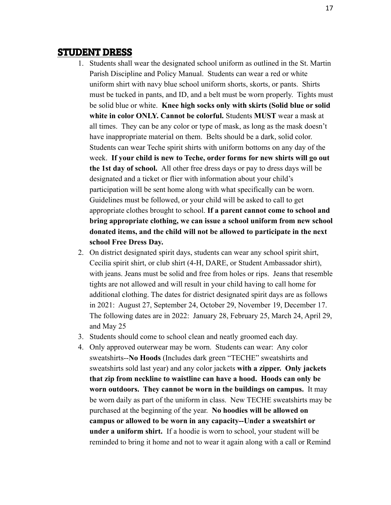#### STUDENT DRESS

- 1. Students shall wear the designated school uniform as outlined in the St. Martin Parish Discipline and Policy Manual. Students can wear a red or white uniform shirt with navy blue school uniform shorts, skorts, or pants. Shirts must be tucked in pants, and ID, and a belt must be worn properly. Tights must be solid blue or white. **Knee high socks only with skirts (Solid blue or solid white in color ONLY. Cannot be colorful.** Students **MUST** wear a mask at all times. They can be any color or type of mask, as long as the mask doesn't have inappropriate material on them. Belts should be a dark, solid color. Students can wear Teche spirit shirts with uniform bottoms on any day of the week. **If your child is new to Teche, order forms for new shirts will go out the 1st day of school.** All other free dress days or pay to dress days will be designated and a ticket or flier with information about your child's participation will be sent home along with what specifically can be worn. Guidelines must be followed, or your child will be asked to call to get appropriate clothes brought to school. **If a parent cannot come to school and bring appropriate clothing, we can issue a school uniform from new school donated items, and the child will not be allowed to participate in the next school Free Dress Day.**
- 2. On district designated spirit days, students can wear any school spirit shirt, Cecilia spirit shirt, or club shirt (4-H, DARE, or Student Ambassador shirt), with jeans. Jeans must be solid and free from holes or rips. Jeans that resemble tights are not allowed and will result in your child having to call home for additional clothing. The dates for district designated spirit days are as follows in 2021: August 27, September 24, October 29, November 19, December 17. The following dates are in 2022: January 28, February 25, March 24, April 29, and May 25
- 3. Students should come to school clean and neatly groomed each day.
- 4. Only approved outerwear may be worn. Students can wear: Any color sweatshirts--**No Hoods** (Includes dark green "TECHE" sweatshirts and sweatshirts sold last year) and any color jackets **with a zipper. Only jackets that zip from neckline to waistline can have a hood. Hoods can only be worn outdoors. They cannot be worn in the buildings on campus.** It may be worn daily as part of the uniform in class. New TECHE sweatshirts may be purchased at the beginning of the year. **No hoodies will be allowed on campus or allowed to be worn in any capacity--Under a sweatshirt or under a uniform shirt.** If a hoodie is worn to school, your student will be reminded to bring it home and not to wear it again along with a call or Remind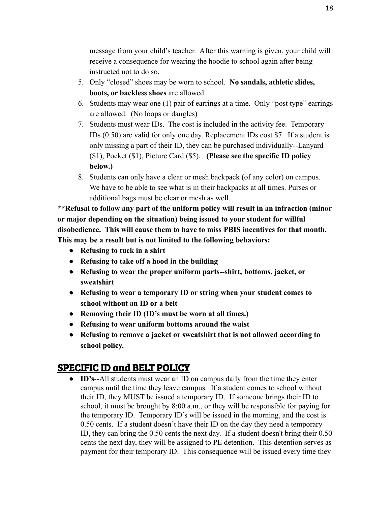message from your child's teacher. After this warning is given, your child will receive a consequence for wearing the hoodie to school again after being instructed not to do so.

- 5. Only "closed" shoes may be worn to school. **No sandals, athletic slides, boots, or backless shoes** are allowed.
- 6. Students may wear one (1) pair of earrings at a time. Only "post type" earrings are allowed. (No loops or dangles)
- 7. Students must wear IDs. The cost is included in the activity fee. Temporary IDs (0.50) are valid for only one day. Replacement IDs cost \$7. If a student is only missing a part of their ID, they can be purchased individually--Lanyard (\$1), Pocket (\$1), Picture Card (\$5). **(Please see the specific ID policy below.)**
- 8. Students can only have a clear or mesh backpack (of any color) on campus. We have to be able to see what is in their backpacks at all times. Purses or additional bags must be clear or mesh as well.

**\*\*Refusal to follow any part of the uniform policy will result in an infraction (minor or major depending on the situation) being issued to your student for willful disobedience. This will cause them to have to miss PBIS incentives for that month. This may be a result but is not limited to the following behaviors:**

- **● Refusing to tuck in a shirt**
- **● Refusing to take off a hood in the building**
- **● Refusing to wear the proper uniform parts--shirt, bottoms, jacket, or sweatshirt**
- **● Refusing to wear a temporary ID or string when your student comes to school without an ID or a belt**
- **● Removing their ID (ID's must be worn at all times.)**
- **● Refusing to wear uniform bottoms around the waist**
- **● Refusing to remove a jacket or sweatshirt that is not allowed according to school policy.**

## SPECIFIC ID and BELT POLICY

● **ID's**--All students must wear an ID on campus daily from the time they enter campus until the time they leave campus. If a student comes to school without their ID, they MUST be issued a temporary ID. If someone brings their ID to school, it must be brought by 8:00 a.m., or they will be responsible for paying for the temporary ID. Temporary ID's will be issued in the morning, and the cost is 0.50 cents. If a student doesn't have their ID on the day they need a temporary ID, they can bring the 0.50 cents the next day. If a student doesn't bring their 0.50 cents the next day, they will be assigned to PE detention. This detention serves as payment for their temporary ID. This consequence will be issued every time they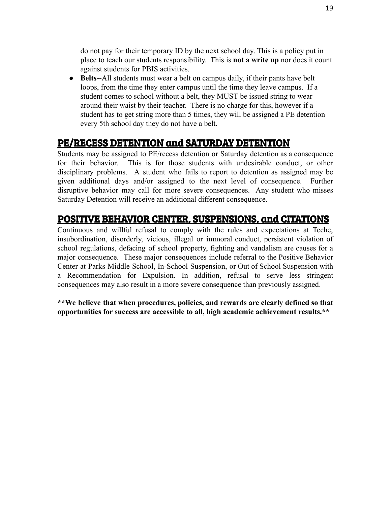do not pay for their temporary ID by the next school day. This is a policy put in place to teach our students responsibility. This is **not a write up** nor does it count against students for PBIS activities.

**● Belts--**All students must wear a belt on campus daily, if their pants have belt loops, from the time they enter campus until the time they leave campus. If a student comes to school without a belt, they MUST be issued string to wear around their waist by their teacher. There is no charge for this, however if a student has to get string more than 5 times, they will be assigned a PE detention every 5th school day they do not have a belt.

## PE/RECESS DETENTION and SATURDAY DETENTION

Students may be assigned to PE/recess detention or Saturday detention as a consequence for their behavior. This is for those students with undesirable conduct, or other disciplinary problems. A student who fails to report to detention as assigned may be given additional days and/or assigned to the next level of consequence. Further disruptive behavior may call for more severe consequences. Any student who misses Saturday Detention will receive an additional different consequence.

## POSITIVE BEHAVIOR CENTER, SUSPENSIONS, and CITATIONS

Continuous and willful refusal to comply with the rules and expectations at Teche, insubordination, disorderly, vicious, illegal or immoral conduct, persistent violation of school regulations, defacing of school property, fighting and vandalism are causes for a major consequence. These major consequences include referral to the Positive Behavior Center at Parks Middle School, In-School Suspension, or Out of School Suspension with a Recommendation for Expulsion. In addition, refusal to serve less stringent consequences may also result in a more severe consequence than previously assigned.

**\*\*We believe that when procedures, policies, and rewards are clearly defined so that opportunities for success are accessible to all, high academic achievement results.\*\***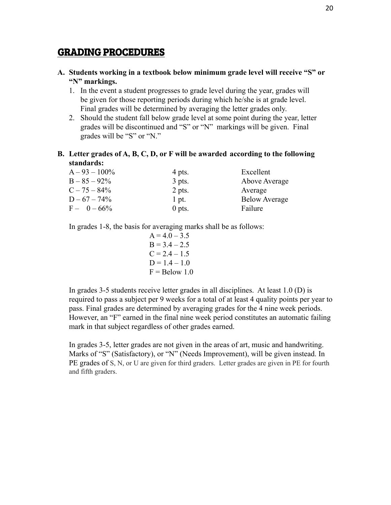### GRADING PROCEDURES

- **A. Students working in a textbook below minimum grade level will receive "S" or "N" markings.**
	- 1. In the event a student progresses to grade level during the year, grades will be given for those reporting periods during which he/she is at grade level. Final grades will be determined by averaging the letter grades only.
	- 2. Should the student fall below grade level at some point during the year, letter grades will be discontinued and "S" or "N" markings will be given. Final grades will be "S" or "N."
- **B. Letter grades of A, B, C, D, or F will be awarded according to the following standards:**

| $A - 93 - 100\%$ | 4 pts.   | Excellent            |
|------------------|----------|----------------------|
| $B - 85 - 92\%$  | $3$ pts. | Above Average        |
| $C - 75 - 84\%$  | 2 pts.   | Average              |
| $D - 67 - 74\%$  | $1$ pt.  | <b>Below Average</b> |
| $F - 0 - 66\%$   | $0$ pts. | Failure              |

In grades 1-8, the basis for averaging marks shall be as follows:

$$
A = 4.0 - 3.5
$$
  
B = 3.4 - 2.5  
C = 2.4 - 1.5  
D = 1.4 - 1.0  
F = Below 1.0

In grades 3-5 students receive letter grades in all disciplines. At least 1.0 (D) is required to pass a subject per 9 weeks for a total of at least 4 quality points per year to pass. Final grades are determined by averaging grades for the 4 nine week periods. However, an "F" earned in the final nine week period constitutes an automatic failing mark in that subject regardless of other grades earned.

In grades 3-5, letter grades are not given in the areas of art, music and handwriting. Marks of "S" (Satisfactory), or "N" (Needs Improvement), will be given instead. In PE grades of S, N, or U are given for third graders. Letter grades are given in PE for fourth and fifth graders.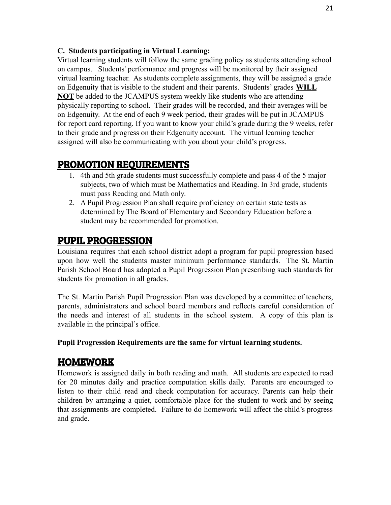#### **C. Students participating in Virtual Learning:**

Virtual learning students will follow the same grading policy as students attending school on campus. Students' performance and progress will be monitored by their assigned virtual learning teacher. As students complete assignments, they will be assigned a grade on Edgenuity that is visible to the student and their parents. Students' grades **WILL NOT** be added to the JCAMPUS system weekly like students who are attending physically reporting to school. Their grades will be recorded, and their averages will be on Edgenuity. At the end of each 9 week period, their grades will be put in JCAMPUS for report card reporting. If you want to know your child's grade during the 9 weeks, refer to their grade and progress on their Edgenuity account. The virtual learning teacher assigned will also be communicating with you about your child's progress.

## PROMOTION REQUIREMENTS

- 1. 4th and 5th grade students must successfully complete and pass 4 of the 5 major subjects, two of which must be Mathematics and Reading. In 3rd grade, students must pass Reading and Math only.
- 2. A Pupil Progression Plan shall require proficiency on certain state tests as determined by The Board of Elementary and Secondary Education before a student may be recommended for promotion.

## PUPIL PROGRESSION

Louisiana requires that each school district adopt a program for pupil progression based upon how well the students master minimum performance standards. The St. Martin Parish School Board has adopted a Pupil Progression Plan prescribing such standards for students for promotion in all grades.

The St. Martin Parish Pupil Progression Plan was developed by a committee of teachers, parents, administrators and school board members and reflects careful consideration of the needs and interest of all students in the school system. A copy of this plan is available in the principal's office.

#### **Pupil Progression Requirements are the same for virtual learning students.**

#### HOMEWORK

Homework is assigned daily in both reading and math. All students are expected to read for 20 minutes daily and practice computation skills daily. Parents are encouraged to listen to their child read and check computation for accuracy. Parents can help their children by arranging a quiet, comfortable place for the student to work and by seeing that assignments are completed. Failure to do homework will affect the child's progress and grade.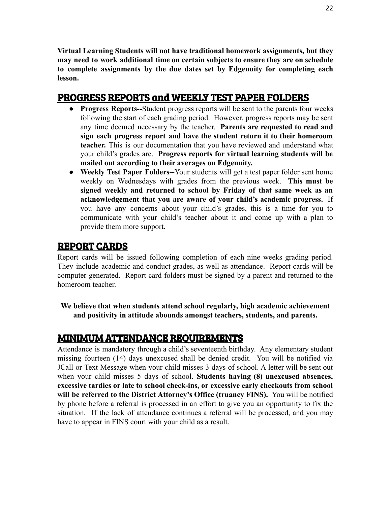**Virtual Learning Students will not have traditional homework assignments, but they may need to work additional time on certain subjects to ensure they are on schedule to complete assignments by the due dates set by Edgenuity for completing each lesson.**

## PROGRESS REPORTS and WEEKLY TEST PAPER FOLDERS

- **Progress Reports--**Student progress reports will be sent to the parents four weeks following the start of each grading period. However, progress reports may be sent any time deemed necessary by the teacher. **Parents are requested to read and sign each progress report and have the student return it to their homeroom teacher.** This is our documentation that you have reviewed and understand what your child's grades are. **Progress reports for virtual learning students will be mailed out according to their averages on Edgenuity.**
- **Weekly Test Paper Folders--**Your students will get a test paper folder sent home weekly on Wednesdays with grades from the previous week. **This must be signed weekly and returned to school by Friday of that same week as an acknowledgement that you are aware of your child's academic progress.** If you have any concerns about your child's grades, this is a time for you to communicate with your child's teacher about it and come up with a plan to provide them more support.

## REPORT CARDS

Report cards will be issued following completion of each nine weeks grading period. They include academic and conduct grades, as well as attendance. Report cards will be computer generated. Report card folders must be signed by a parent and returned to the homeroom teacher.

**We believe that when students attend school regularly, high academic achievement and positivity in attitude abounds amongst teachers, students, and parents.**

## MINIMUM ATTENDANCE REQUIREMENTS

Attendance is mandatory through a child's seventeenth birthday. Any elementary student missing fourteen (14) days unexcused shall be denied credit. You will be notified via JCall or Text Message when your child misses 3 days of school. A letter will be sent out when your child misses 5 days of school. **Students having (8) unexcused absences, excessive tardies or late to school check-ins, or excessive early checkouts from school will be referred to the District Attorney's Office (truancy FINS).** You will be notified by phone before a referral is processed in an effort to give you an opportunity to fix the situation. If the lack of attendance continues a referral will be processed, and you may have to appear in FINS court with your child as a result.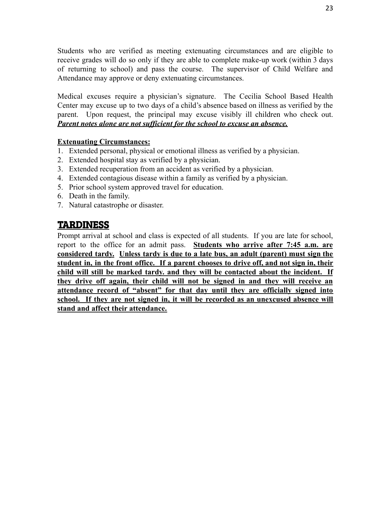Students who are verified as meeting extenuating circumstances and are eligible to receive grades will do so only if they are able to complete make-up work (within 3 days of returning to school) and pass the course. The supervisor of Child Welfare and Attendance may approve or deny extenuating circumstances.

Medical excuses require a physician's signature. The Cecilia School Based Health Center may excuse up to two days of a child's absence based on illness as verified by the parent. Upon request, the principal may excuse visibly ill children who check out. *Parent notes alone are not sufficient for the school to excuse an absence.*

#### **Extenuating Circumstances:**

- 1. Extended personal, physical or emotional illness as verified by a physician.
- 2. Extended hospital stay as verified by a physician.
- 3. Extended recuperation from an accident as verified by a physician.
- 4. Extended contagious disease within a family as verified by a physician.
- 5. Prior school system approved travel for education.
- 6. Death in the family.
- 7. Natural catastrophe or disaster.

#### TARDINESS

Prompt arrival at school and class is expected of all students. If you are late for school, report to the office for an admit pass. **Students who arrive after 7:45 a.m. are considered tardy. Unless tardy is due to a late bus, an adult (parent) must sign the student in, in the front office. If a parent chooses to drive off, and not sign in, their child will still be marked tardy. and they will be contacted about the incident. If they drive off again, their child will not be signed in and they will receive an attendance record of "absent" for that day until they are officially signed into school. If they are not signed in, it will be recorded as an unexcused absence will stand and affect their attendance.**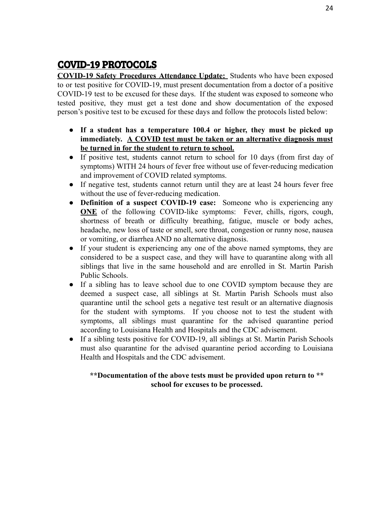## COVID-19 PROTOCOLS

**COVID-19 Safety Procedures Attendance Update:** Students who have been exposed to or test positive for COVID-19, must present documentation from a doctor of a positive COVID-19 test to be excused for these days. If the student was exposed to someone who tested positive, they must get a test done and show documentation of the exposed person's positive test to be excused for these days and follow the protocols listed below:

- **● If a student has a temperature 100.4 or higher, they must be picked up immediately. A COVID test must be taken or an alternative diagnosis must be turned in for the student to return to school.**
- If positive test, students cannot return to school for 10 days (from first day of symptoms) WITH 24 hours of fever free without use of fever-reducing medication and improvement of COVID related symptoms.
- If negative test, students cannot return until they are at least 24 hours fever free without the use of fever-reducing medication.
- **● Definition of a suspect COVID-19 case:** Someone who is experiencing any **ONE** of the following COVID-like symptoms: Fever, chills, rigors, cough, shortness of breath or difficulty breathing, fatigue, muscle or body aches, headache, new loss of taste or smell, sore throat, congestion or runny nose, nausea or vomiting, or diarrhea AND no alternative diagnosis.
- **●** If your student is experiencing any one of the above named symptoms, they are considered to be a suspect case, and they will have to quarantine along with all siblings that live in the same household and are enrolled in St. Martin Parish Public Schools.
- If a sibling has to leave school due to one COVID symptom because they are deemed a suspect case, all siblings at St. Martin Parish Schools must also quarantine until the school gets a negative test result or an alternative diagnosis for the student with symptoms. If you choose not to test the student with symptoms, all siblings must quarantine for the advised quarantine period according to Louisiana Health and Hospitals and the CDC advisement.
- If a sibling tests positive for COVID-19, all siblings at St. Martin Parish Schools must also quarantine for the advised quarantine period according to Louisiana Health and Hospitals and the CDC advisement.

#### **\*\*Documentation of the above tests must be provided upon return to \*\* school for excuses to be processed.**